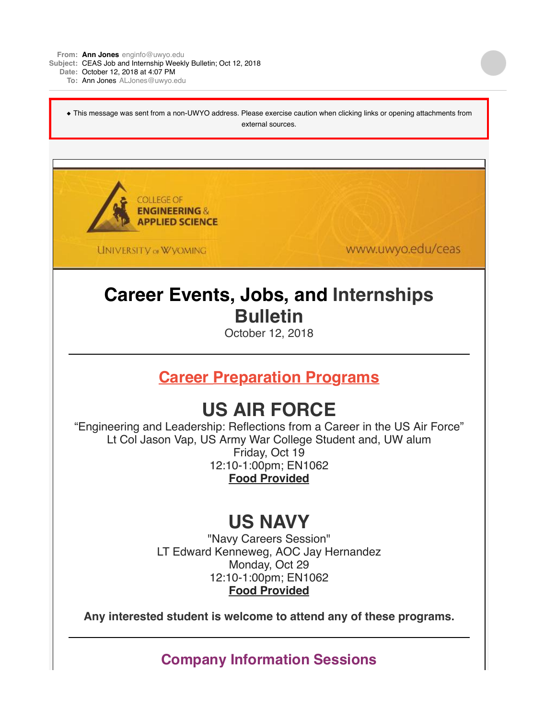**From: Ann [Jones](mailto:Jonesenginfo@uwyo.edu)** [enginfo@uwyo.edu](mailto:Jonesenginfo@uwyo.edu)

**Subject:** CEAS Job and Internship Weekly Bulletin; Oct 12, 2018

**Date:** October 12, 2018 at 4:07 PM

**To:** Ann [Jones](mailto:JonesALJones@uwyo.edu) [ALJones@uwyo.edu](mailto:JonesALJones@uwyo.edu)

◆ This message was sent from a non-UWYO address. Please exercise caution when clicking links or opening attachments from external sources.



**UNIVERSITY OF WYOMING** 

www.uwyo.edu/ceas

## **Career Events, Jobs, and Internships Bulletin**

October 12, 2018

**Career Preparation Programs**

# **US AIR FORCE**

"Engineering and Leadership: Reflections from a Career in the US Air Force" Lt Col Jason Vap, US Army War College Student and, UW alum Friday, Oct 19 12:10-1:00pm; EN1062 **Food Provided**

### **US NAVY**

"Navy Careers Session" LT Edward Kenneweg, AOC Jay Hernandez Monday, Oct 29 12:10-1:00pm; EN1062 **Food Provided**

**Any interested student is welcome to attend any of these programs.**

**Company Information Sessions**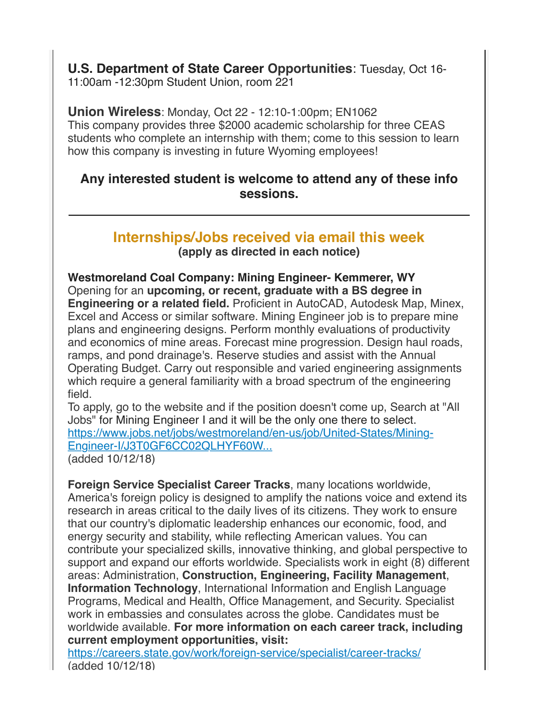**U.S. Department of State Career Opportunities**: Tuesday, Oct 16- 11:00am -12:30pm Student Union, room 221

**Union Wireless**: Monday, Oct 22 - 12:10-1:00pm; EN1062 This company provides three \$2000 academic scholarship for three CEAS students who complete an internship with them; come to this session to learn how this company is investing in future Wyoming employees!

#### **Any interested student is welcome to attend any of these info sessions.**

#### **Internships/Jobs received via email this week (apply as directed in each notice)**

**Westmoreland Coal Company: Mining Engineer- Kemmerer, WY** Opening for an **upcoming, or recent, graduate with a BS degree in Engineering or a related field.** Proficient in AutoCAD, Autodesk Map, Minex, Excel and Access or similar software. Mining Engineer job is to prepare mine plans and engineering designs. Perform monthly evaluations of productivity and economics of mine areas. Forecast mine progression. Design haul roads, ramps, and pond drainage's. Reserve studies and assist with the Annual Operating Budget. Carry out responsible and varied engineering assignments which require a general familiarity with a broad spectrum of the engineering field.

To apply, go to the website and if the position doesn't come up, Search at "All Jobs" for Mining Engineer I and it will be the only one there to select. [https://www.jobs.net/jobs/westmoreland/en-us/job/United-States/Mining-](http://r20.rs6.net/tn.jsp?f=001Ju2rL2lcbk1qp15JgKcs4INpzncCuvG0HAnzp0IEyq49GDUfV5ud1x_9HD6IBmmy-rtxAHNbs_mddrJwZpp7y88L36RduRpz1M7n55hBKab48bzhVRf_OetLc_zGpNBkYW81Y8c2QSFnmLgMHeGPtjohN72ZgJt-OYV_OHYt-eyfYtz_yGI79Rvg0Qu84e3cQgEOI8lJtYerxqdnITlyQldOHHIesoRJm9QzfjZ32W-W8zdsvukdLP6ZeEe8l6jSBG9L99Mw75WAT-aAntS3ua41SCY4SwFIjfvl6_dUEm_xJoiuTI3ltbZu0PEW7gX8Kxqzv9w01UqGsOXIZipmSD-vCwXq00dU_DhYxLJQjMX8S-xcXsXFS6jN5n2ApGqlBHZYjzjSnf-lPLU10ij6dtYjUJjzJdYOHCT-dwoCgJ9vZzrCJeRpA9B-3tqL7rWxYDBYNu6Tc3osKHSR4K_UbHUtxWJQvgRwqhS9KIJoC3wlEae1FHSeRyBKA3aSfMC7Fw5ipHYeY1i3sO9BL4IiO1KsgfL_11YELxhr8hojlHxX5BgVr_bbOGFzl3IwlrB3trsaGHxpbh-m-XJg3HhqbVktH2TZBZVxLlI8CKCWQDUoA8Jh1NcmIvNp77OLEOD4qZNOSdSnoG3B2qTzdnIZyWL3faEkiW0TsAbiuHQEEqTO3zV4c1F7pieHlHz4W7w02YjNhGQ5O3Q=&c=8wjzGS6KTvBdbO9823QD3759eZMLIPdDoz4dgDlVWBXWUAot0AMYSg==&ch=6ELxDurNWiO6nR7e_Jy5s9NLmhn9iKDA_Y_veaMz9J8iTrFjDIAeZA==)Engineer-I/J3T0GF6CC02QLHYF60W... (added 10/12/18)

**Foreign Service Specialist Career Tracks**, many locations worldwide, America's foreign policy is designed to amplify the nations voice and extend its research in areas critical to the daily lives of its citizens. They work to ensure that our country's diplomatic leadership enhances our economic, food, and energy security and stability, while reflecting American values. You can contribute your specialized skills, innovative thinking, and global perspective to support and expand our efforts worldwide. Specialists work in eight (8) different areas: Administration, **Construction, Engineering, Facility Management**, **Information Technology**, International Information and English Language Programs, Medical and Health, Office Management, and Security. Specialist work in embassies and consulates across the globe. Candidates must be worldwide available. **For more information on each career track, including current employment opportunities, visit:**

[https://careers.state.gov/work/foreign-service/specialist/career-tracks/](http://r20.rs6.net/tn.jsp?f=001Ju2rL2lcbk1qp15JgKcs4INpzncCuvG0HAnzp0IEyq49GDUfV5ud1x_9HD6IBmmyjb79VrTvUN34NN8Q_QUbp5lkWCwv6QJjH774dz4e5HjydXrC3AEEE6dHWgSkFa3vtaJpAdkxKg6Dff5o9mg-UWSSdHa4wmvuO7JVv6IpzpW1rEENl7hZWJQFmJQeJ0zZ-Ep3nnrdNkZZJWxljSLU58ZSgAmEtdxx&c=8wjzGS6KTvBdbO9823QD3759eZMLIPdDoz4dgDlVWBXWUAot0AMYSg==&ch=6ELxDurNWiO6nR7e_Jy5s9NLmhn9iKDA_Y_veaMz9J8iTrFjDIAeZA==) (added 10/12/18)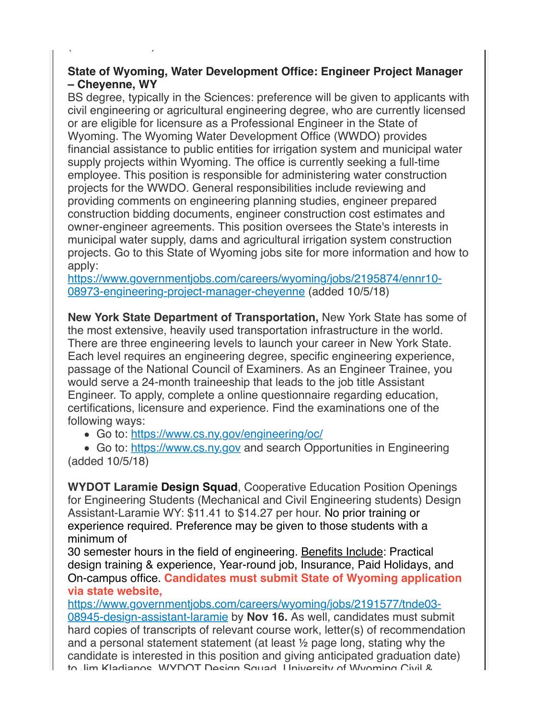#### **State of Wyoming, Water Development Office: Engineer Project Manager – Cheyenne, WY**

 $(3a - 12a - 12a - 12a)$ 

BS degree, typically in the Sciences: preference will be given to applicants with civil engineering or agricultural engineering degree, who are currently licensed or are eligible for licensure as a Professional Engineer in the State of Wyoming. The Wyoming Water Development Office (WWDO) provides financial assistance to public entities for irrigation system and municipal water supply projects within Wyoming. The office is currently seeking a full-time employee. This position is responsible for administering water construction projects for the WWDO. General responsibilities include reviewing and providing comments on engineering planning studies, engineer prepared construction bidding documents, engineer construction cost estimates and owner-engineer agreements. This position oversees the State's interests in municipal water supply, dams and agricultural irrigation system construction projects. Go to this State of Wyoming jobs site for more information and how to apply:

[https://www.governmentjobs.com/careers/wyoming/jobs/2195874/ennr10-](http://r20.rs6.net/tn.jsp?f=001Ju2rL2lcbk1qp15JgKcs4INpzncCuvG0HAnzp0IEyq49GDUfV5ud10qyfjaCLVmgDZymzs7HUZ9tguL0iGwi3CcURuZL3sbdWF57wNUp70fWCabm97e2133SlEFVk19046qvBHHyigNekli34WCIqfbkyE9dO90mDCCLLXHVGWNmPs3ZYN5W-otcD0S0unjCpPivX3jmKCR9HqsUweErgs6E1Rvc_bcxRRzxfqrCigfnSNCl3ImhCgV7PSb3ndySfOymQLqMd3w=&c=8wjzGS6KTvBdbO9823QD3759eZMLIPdDoz4dgDlVWBXWUAot0AMYSg==&ch=6ELxDurNWiO6nR7e_Jy5s9NLmhn9iKDA_Y_veaMz9J8iTrFjDIAeZA==) 08973-engineering-project-manager-cheyenne (added 10/5/18)

**New York State Department of Transportation,** New York State has some of the most extensive, heavily used transportation infrastructure in the world. There are three engineering levels to launch your career in New York State. Each level requires an engineering degree, specific engineering experience, passage of the National Council of Examiners. As an Engineer Trainee, you would serve a 24-month traineeship that leads to the job title Assistant Engineer. To apply, complete a online questionnaire regarding education, certifications, licensure and experience. Find the examinations one of the following ways:

Go to: [https://www.cs.ny.gov/engineering/oc/](http://r20.rs6.net/tn.jsp?f=001Ju2rL2lcbk1qp15JgKcs4INpzncCuvG0HAnzp0IEyq49GDUfV5ud10qyfjaCLVmg6pGW_lYENgKRPlyfXMdOpo65BBz7pybMVmC1XAz_D4tGgWySuUYl4iAz6aaJplgZWkVHzG-zQded_QFiosT3e2vvLFI5atJ29palfv08ELg=&c=8wjzGS6KTvBdbO9823QD3759eZMLIPdDoz4dgDlVWBXWUAot0AMYSg==&ch=6ELxDurNWiO6nR7e_Jy5s9NLmhn9iKDA_Y_veaMz9J8iTrFjDIAeZA==)

Go to: [https://www.cs.ny.gov](http://r20.rs6.net/tn.jsp?f=001Ju2rL2lcbk1qp15JgKcs4INpzncCuvG0HAnzp0IEyq49GDUfV5ud10qyfjaCLVmghDbDHKr8SyqcjuhARc3Oj5TBAwD2kfsuFsz-r60R60W2Juw5OrCWOFwzDnjGajIuwZfgAjrbNLI=&c=8wjzGS6KTvBdbO9823QD3759eZMLIPdDoz4dgDlVWBXWUAot0AMYSg==&ch=6ELxDurNWiO6nR7e_Jy5s9NLmhn9iKDA_Y_veaMz9J8iTrFjDIAeZA==) and search Opportunities in Engineering (added 10/5/18)

**WYDOT Laramie Design Squad**, Cooperative Education Position Openings for Engineering Students (Mechanical and Civil Engineering students) Design Assistant-Laramie WY: \$11.41 to \$14.27 per hour. No prior training or experience required. Preference may be given to those students with a minimum of

30 semester hours in the field of engineering. Benefits Include: Practical design training & experience, Year-round job, Insurance, Paid Holidays, and On-campus office. **Candidates must submit State of Wyoming application via state website,**

[https://www.governmentjobs.com/careers/wyoming/jobs/2191577/tnde03-](http://r20.rs6.net/tn.jsp?f=001Ju2rL2lcbk1qp15JgKcs4INpzncCuvG0HAnzp0IEyq49GDUfV5ud10qyfjaCLVmgisGSg3F0EqLwxPcWy86MvigdVCGMnUg0mVDpGwW61uTLgQYvo_v3JJagy6ot-Lq-CrsoI7WP5B8QQ89rRSXjMh3t2OIc-YmhFt5nmszMJvlcFvdxu-VoWteAbn-ZnbMFRoKYyoQzPmxDTw-m5BS_FC3cZ2B9YsG3nNMWRag8dONNVhKkDNJVN8tIVOULWeRB&c=8wjzGS6KTvBdbO9823QD3759eZMLIPdDoz4dgDlVWBXWUAot0AMYSg==&ch=6ELxDurNWiO6nR7e_Jy5s9NLmhn9iKDA_Y_veaMz9J8iTrFjDIAeZA==) 08945-design-assistant-laramie by **Nov 16.** As well, candidates must submit hard copies of transcripts of relevant course work, letter(s) of recommendation and a personal statement statement (at least ½ page long, stating why the candidate is interested in this position and giving anticipated graduation date) to Jim Kladianos, WYDOT Design Squad, University of Wyoming Civil &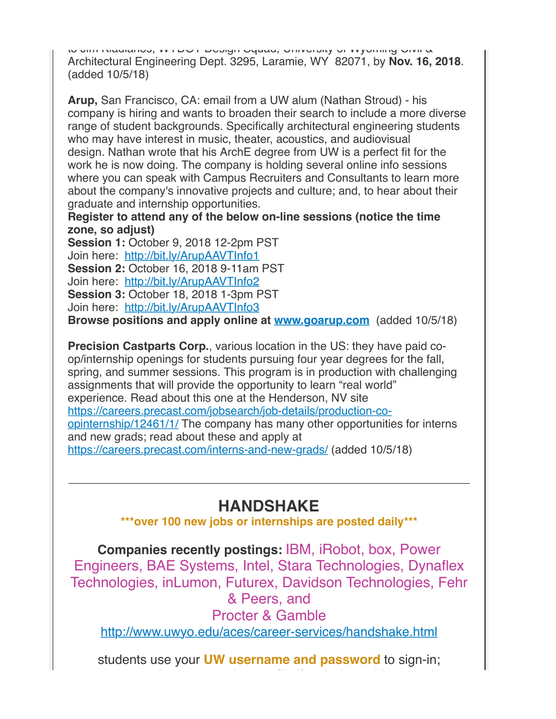to Jum Kladianos, Williams Design Schwad, University of Wyoming G Architectural Engineering Dept. 3295, Laramie, WY 82071, by **Nov. 16, 2018**. (added 10/5/18)

**Arup,** San Francisco, CA: email from a UW alum (Nathan Stroud) - his company is hiring and wants to broaden their search to include a more diverse range of student backgrounds. Specifically architectural engineering students who may have interest in music, theater, acoustics, and audiovisual design. Nathan wrote that his ArchE degree from UW is a perfect fit for the work he is now doing. The company is holding several online info sessions where you can speak with Campus Recruiters and Consultants to learn more about the company's innovative projects and culture; and, to hear about their graduate and internship opportunities.

**Register to attend any of the below on-line sessions (notice the time zone, so adjust)**

**Session 1:** October 9, 2018 12-2pm PST Join here: [http://bit.ly/ArupAAVTInfo1](http://r20.rs6.net/tn.jsp?f=001Ju2rL2lcbk1qp15JgKcs4INpzncCuvG0HAnzp0IEyq49GDUfV5ud10qyfjaCLVmgWy6KAxmzZpqISu5gIMlWsK2O8Nst8xcWFtaXubNT-wRrVsq9lSl1c84ftpb9N43aRNGk3FqmxTR7mQs5H14o4w==&c=8wjzGS6KTvBdbO9823QD3759eZMLIPdDoz4dgDlVWBXWUAot0AMYSg==&ch=6ELxDurNWiO6nR7e_Jy5s9NLmhn9iKDA_Y_veaMz9J8iTrFjDIAeZA==) **Session 2:** October 16, 2018 9-11am PST Join here: [http://bit.ly/ArupAAVTInfo2](http://r20.rs6.net/tn.jsp?f=001Ju2rL2lcbk1qp15JgKcs4INpzncCuvG0HAnzp0IEyq49GDUfV5ud10qyfjaCLVmgVjKym2tQIgynuuCU9MrjOkQWR7ihfSeG4f3onncqRnA6FrTqnaZ4K_V4DwgxQc3xou9r7-RXBzZqWyFd4nqzAw==&c=8wjzGS6KTvBdbO9823QD3759eZMLIPdDoz4dgDlVWBXWUAot0AMYSg==&ch=6ELxDurNWiO6nR7e_Jy5s9NLmhn9iKDA_Y_veaMz9J8iTrFjDIAeZA==) **Session 3:** October 18, 2018 1-3pm PST Join here: [http://bit.ly/ArupAAVTInfo3](http://r20.rs6.net/tn.jsp?f=001Ju2rL2lcbk1qp15JgKcs4INpzncCuvG0HAnzp0IEyq49GDUfV5ud10qyfjaCLVmgNCArMLtKnKXyXcumfKN71jv64M5s0AYpuCEYfP76wh6emt5-eB6QcWJArx0aZ37ilsIUcHl0pYZOrDUs64818A==&c=8wjzGS6KTvBdbO9823QD3759eZMLIPdDoz4dgDlVWBXWUAot0AMYSg==&ch=6ELxDurNWiO6nR7e_Jy5s9NLmhn9iKDA_Y_veaMz9J8iTrFjDIAeZA==) **Browse positions and apply online at [www.goarup.com](http://r20.rs6.net/tn.jsp?f=001Ju2rL2lcbk1qp15JgKcs4INpzncCuvG0HAnzp0IEyq49GDUfV5ud10qyfjaCLVmggj6Nn1v3VVKva1YLX9OZF89YMSgMlbLad4gGgw4k1gqYA5j6M45McJH5LRqBJ-8HHx71WyqNhjU=&c=8wjzGS6KTvBdbO9823QD3759eZMLIPdDoz4dgDlVWBXWUAot0AMYSg==&ch=6ELxDurNWiO6nR7e_Jy5s9NLmhn9iKDA_Y_veaMz9J8iTrFjDIAeZA==)** (added 10/5/18)

**Precision Castparts Corp., various location in the US: they have paid co**op/internship openings for students pursuing four year degrees for the fall, spring, and summer sessions. This program is in production with challenging assignments that will provide the opportunity to learn "real world" experience. Read about this one at the Henderson, NV site [https://careers.precast.com/jobsearch/job-details/production-co](http://r20.rs6.net/tn.jsp?f=001Ju2rL2lcbk1qp15JgKcs4INpzncCuvG0HAnzp0IEyq49GDUfV5ud10qyfjaCLVmgr5Q0Ke2I2V93qPNbGJv9_R1reEoSGPUUzvbeYReCA_4ghbeKS9PtZH7qemEyxHaD-juODj92T4jFkqnZ_xYxTurPmpWvScP8a1s4iwhWU5mb_Uoho4gYWPrer4-qijeI5vVLLSzLOqjfih-wA1PSwnmYWsDg2NTULx1XVeoVKBykPNWe0TsXMg==&c=8wjzGS6KTvBdbO9823QD3759eZMLIPdDoz4dgDlVWBXWUAot0AMYSg==&ch=6ELxDurNWiO6nR7e_Jy5s9NLmhn9iKDA_Y_veaMz9J8iTrFjDIAeZA==)opinternship/12461/1/ The company has many other opportunities for interns and new grads; read about these and apply at [https://careers.precast.com/interns-and-new-grads/](http://r20.rs6.net/tn.jsp?f=001Ju2rL2lcbk1qp15JgKcs4INpzncCuvG0HAnzp0IEyq49GDUfV5ud10qyfjaCLVmgqnmDmaDL-SJGAMJk_sm_o9hIN7LzfKNBpFs4oyNwzEtAeK-JSFjM22u2PWwWSlz_Pjp7sS72ePVn3jSeTFBL_hckOMEUfIc7gvU_sv_Yq4A80FfleMPZkA==&c=8wjzGS6KTvBdbO9823QD3759eZMLIPdDoz4dgDlVWBXWUAot0AMYSg==&ch=6ELxDurNWiO6nR7e_Jy5s9NLmhn9iKDA_Y_veaMz9J8iTrFjDIAeZA==) (added 10/5/18)

### **HANDSHAKE**

**\*\*\*over 100 new jobs or internships are posted daily\*\*\***

**Companies recently postings:** IBM, iRobot, box, Power Engineers, BAE Systems, Intel, Stara Technologies, Dynaflex Technologies, inLumon, Futurex, Davidson Technologies, Fehr & Peers, and Procter & Gamble [http://www.uwyo.edu/aces/career-services/handshake.html](http://r20.rs6.net/tn.jsp?f=001Ju2rL2lcbk1qp15JgKcs4INpzncCuvG0HAnzp0IEyq49GDUfV5ud151kc_Q4IQWGGm34dgKRh-hSPqQK8mLdzp0PdR14yTo_p_mdlrxuV1aAFkcXslQXPxawAwJtyEZuqQ_x3Xm1WfpVydGZTGU_RPs-ObMseF_JW-pShAX6e4UJPFYFvNfvwr2Jzfa2A1Xo&c=8wjzGS6KTvBdbO9823QD3759eZMLIPdDoz4dgDlVWBXWUAot0AMYSg==&ch=6ELxDurNWiO6nR7e_Jy5s9NLmhn9iKDA_Y_veaMz9J8iTrFjDIAeZA==)

students use your **UW username and password** to sign-in;